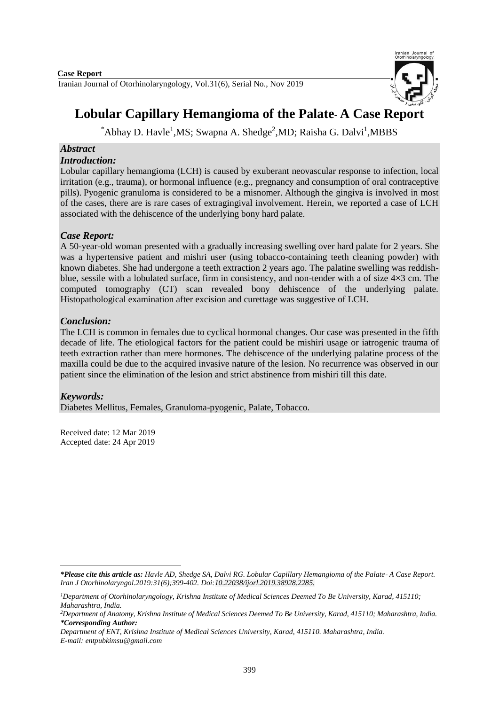Iranian Journal of Otorhinolaryngology, Vol.31(6), Serial No., Nov 2019



# **Lobular Capillary Hemangioma of the Palate**- **A Case Report**

\*Abhay D. Havle<sup>1</sup>, MS; Swapna A. Shedge<sup>2</sup>, MD; Raisha G. Dalvi<sup>1</sup>, MBBS

# *Abstract*

### *Introduction:*

Lobular capillary hemangioma (LCH) is caused by exuberant neovascular response to infection, local irritation (e.g., trauma), or hormonal influence (e.g., pregnancy and consumption of oral contraceptive pills). Pyogenic granuloma is considered to be a misnomer. Although the gingiva is involved in most of the cases, there are is rare cases of extragingival involvement. Herein, we reported a case of LCH associated with the dehiscence of the underlying bony hard palate.

# *Case Report:*

A 50-year-old woman presented with a gradually increasing swelling over hard palate for 2 years. She was a hypertensive patient and mishri user (using tobacco-containing teeth cleaning powder) with known diabetes. She had undergone a teeth extraction 2 years ago. The palatine swelling was reddishblue, sessile with a lobulated surface, firm in consistency, and non-tender with a of size 4×3 cm. The computed tomography (CT) scan revealed bony dehiscence of the underlying palate. Histopathological examination after excision and curettage was suggestive of LCH.

# *Conclusion:*

The LCH is common in females due to cyclical hormonal changes. Our case was presented in the fifth decade of life. The etiological factors for the patient could be mishiri usage or iatrogenic trauma of teeth extraction rather than mere hormones. The dehiscence of the underlying palatine process of the maxilla could be due to the acquired invasive nature of the lesion. No recurrence was observed in our patient since the elimination of the lesion and strict abstinence from mishiri till this date.

## *Keywords:*

**.** 

Diabetes Mellitus, Females, Granuloma-pyogenic, Palate, Tobacco.

Received date: 12 Mar 2019 Accepted date: 24 Apr 2019

*<sup>\*</sup>Please cite this article as: Havle AD, Shedge SA, Dalvi RG. Lobular Capillary Hemangioma of the Palate*- *A Case Report. [Iran J Otorhinolaryngol.2](https://www.ncbi.nlm.nih.gov/pubmed/?term=Tri-layer+Tympanoplasty+as+a+New+Technique+in+High-risk+Tympanic+Membrane+Perforations)019:31(6);399-402. Doi:10.22038/ijorl.2019.38928.2285.*

*<sup>1</sup>Department of Otorhinolaryngology, Krishna Institute of Medical Sciences Deemed To Be University, Karad, 415110; Maharashtra, India.*

*<sup>2</sup>Department of Anatomy, Krishna Institute of Medical Sciences Deemed To Be University, Karad, 415110; Maharashtra, India. \*Corresponding Author:*

*Department of ENT, Krishna Institute of Medical Sciences University, Karad, 415110. Maharashtra, India. E-mail[: entpubkimsu@gmail.com](mailto:entpubkimsu@gmail.com)*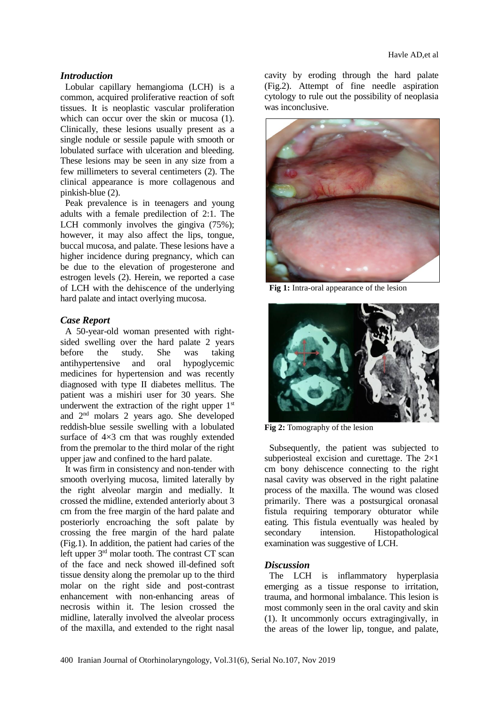#### *Introduction*

Lobular capillary hemangioma (LCH) is a common, acquired proliferative reaction of soft tissues. It is neoplastic vascular proliferation which can occur over the skin or mucosa  $(1)$ . Clinically, these lesions usually present as a single nodule or sessile papule with smooth or lobulated surface with ulceration and bleeding. These lesions may be seen in any size from a few millimeters to several centimeters (2). The clinical appearance is more collagenous and pinkish-blue (2).

Peak prevalence is in teenagers and young adults with a female predilection of 2:1. The LCH commonly involves the gingiva (75%); however, it may also affect the lips, tongue, buccal mucosa, and palate. These lesions have a higher incidence during pregnancy, which can be due to the elevation of progesterone and estrogen levels (2). Herein, we reported a case of LCH with the dehiscence of the underlying hard palate and intact overlying mucosa.

#### *Case Report*

A 50-year-old woman presented with rightsided swelling over the hard palate 2 years before the study. She was taking antihypertensive and oral hypoglycemic medicines for hypertension and was recently diagnosed with type II diabetes mellitus. The patient was a mishiri user for 30 years. She underwent the extraction of the right upper  $1<sup>st</sup>$ and 2nd molars 2 years ago. She developed reddish-blue sessile swelling with a lobulated surface of  $4\times3$  cm that was roughly extended from the premolar to the third molar of the right upper jaw and confined to the hard palate.

It was firm in consistency and non-tender with smooth overlying mucosa, limited laterally by the right alveolar margin and medially. It crossed the midline, extended anteriorly about 3 cm from the free margin of the hard palate and posteriorly encroaching the soft palate by crossing the free margin of the hard palate (Fig.1). In addition, the patient had caries of the left upper  $3<sup>rd</sup>$  molar tooth. The contrast CT scan of the face and neck showed ill-defined soft tissue density along the premolar up to the third molar on the right side and post-contrast enhancement with non-enhancing areas of necrosis within it. The lesion crossed the midline, laterally involved the alveolar process of the maxilla, and extended to the right nasal cavity by eroding through the hard palate (Fig.2). Attempt of fine needle aspiration cytology to rule out the possibility of neoplasia was inconclusive.



**Fig 1:** Intra-oral appearance of the lesion



**Fig 2:** Tomography of the lesion

Subsequently, the patient was subjected to subperiosteal excision and curettage. The 2×1 cm bony dehiscence connecting to the right nasal cavity was observed in the right palatine process of the maxilla. The wound was closed primarily. There was a postsurgical oronasal fistula requiring temporary obturator while eating. This fistula eventually was healed by secondary intension. Histopathological examination was suggestive of LCH.

#### *Discussion*

The LCH is inflammatory hyperplasia emerging as a tissue response to irritation, trauma, and hormonal imbalance. This lesion is most commonly seen in the oral cavity and skin (1). It uncommonly occurs extragingivally, in the areas of the lower lip, tongue, and palate,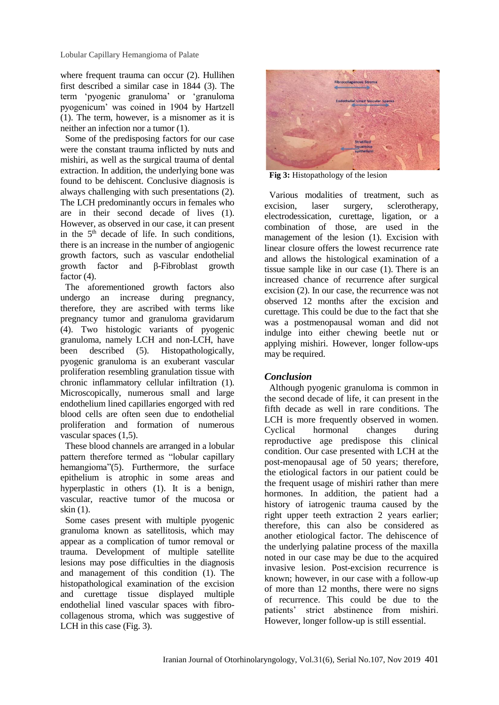Lobular Capillary Hemangioma of Palate

where frequent trauma can occur (2). Hullihen first described a similar case in 1844 (3). The term 'pyogenic granuloma' or 'granuloma pyogenicum' was coined in 1904 by Hartzell (1). The term, however, is a misnomer as it is neither an infection nor a tumor (1).

Some of the predisposing factors for our case were the constant trauma inflicted by nuts and mishiri, as well as the surgical trauma of dental extraction. In addition, the underlying bone was found to be dehiscent. Conclusive diagnosis is always challenging with such presentations (2). The LCH predominantly occurs in females who are in their second decade of lives (1). However, as observed in our case, it can present in the  $5<sup>th</sup>$  decade of life. In such conditions, there is an increase in the number of angiogenic growth factors, such as vascular endothelial growth factor and β-Fibroblast growth factor  $(4)$ .

The aforementioned growth factors also undergo an increase during pregnancy, therefore, they are ascribed with terms like pregnancy tumor and granuloma gravidarum (4). Two histologic variants of pyogenic granuloma, namely LCH and non-LCH, have been described (5). Histopathologically, pyogenic granuloma is an exuberant vascular proliferation resembling granulation tissue with chronic inflammatory cellular infiltration (1). Microscopically, numerous small and large endothelium lined capillaries engorged with red blood cells are often seen due to endothelial proliferation and formation of numerous vascular spaces (1,5).

These blood channels are arranged in a lobular pattern therefore termed as "lobular capillary hemangioma"(5). Furthermore, the surface epithelium is atrophic in some areas and hyperplastic in others (1). It is a benign, vascular, reactive tumor of the mucosa or skin (1).

Some cases present with multiple pyogenic granuloma known as satellitosis, which may appear as a complication of tumor removal or trauma. Development of multiple satellite lesions may pose difficulties in the diagnosis and management of this condition (1). The histopathological examination of the excision and curettage tissue displayed multiple endothelial lined vascular spaces with fibrocollagenous stroma, which was suggestive of LCH in this case (Fig. 3).



**Fig 3:** Histopathology of the lesion

Various modalities of treatment, such as excision, laser surgery, sclerotherapy, electrodessication, curettage, ligation, or a combination of those, are used in the management of the lesion (1). Excision with linear closure offers the lowest recurrence rate and allows the histological examination of a tissue sample like in our case (1). There is an increased chance of recurrence after surgical excision (2). In our case, the recurrence was not observed 12 months after the excision and curettage. This could be due to the fact that she was a postmenopausal woman and did not indulge into either chewing beetle nut or applying mishiri. However, longer follow-ups may be required.

## *Conclusion*

Although pyogenic granuloma is common in the second decade of life, it can present in the fifth decade as well in rare conditions. The LCH is more frequently observed in women. Cyclical hormonal changes during reproductive age predispose this clinical condition. Our case presented with LCH at the post-menopausal age of 50 years; therefore, the etiological factors in our patient could be the frequent usage of mishiri rather than mere hormones. In addition, the patient had a history of iatrogenic trauma caused by the right upper teeth extraction 2 years earlier; therefore, this can also be considered as another etiological factor. The dehiscence of the underlying palatine process of the maxilla noted in our case may be due to the acquired invasive lesion. Post-excision recurrence is known; however, in our case with a follow-up of more than 12 months, there were no signs of recurrence. This could be due to the patients' strict abstinence from mishiri. However, longer follow-up is still essential.